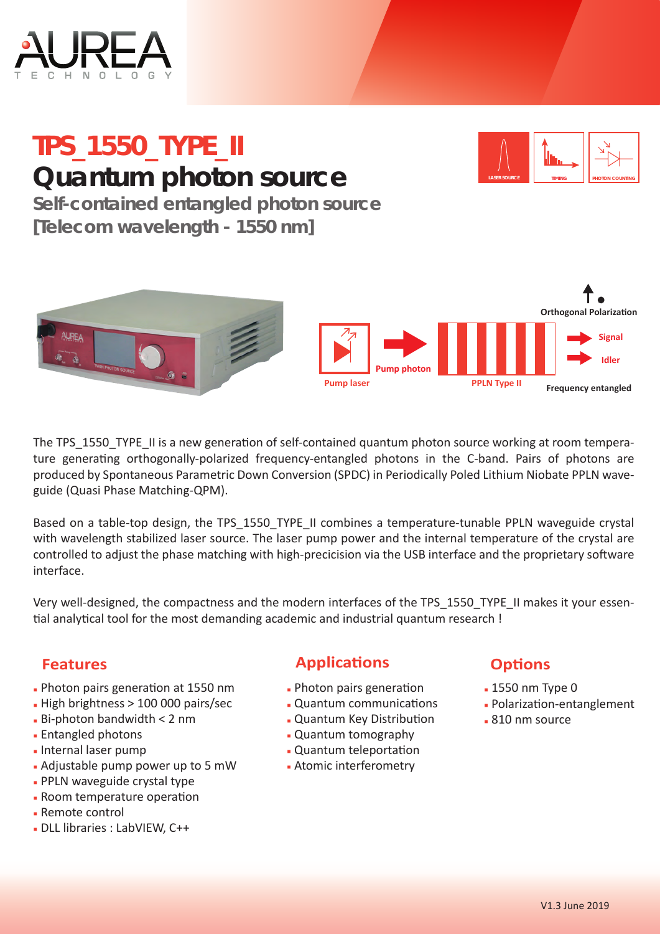

# **TPS\_1550\_TYPE\_II Quantum photon source**



**Self-contained entangled photon source [Telecom wavelength - 1550 nm]**



The TPS 1550 TYPE II is a new generation of self-contained quantum photon source working at room temperature generating orthogonally-polarized frequency-entangled photons in the C-band. Pairs of photons are produced by Spontaneous Parametric Down Conversion (SPDC) in Periodically Poled Lithium Niobate PPLN waveguide (Quasi Phase Matching-QPM).

Based on a table-top design, the TPS 1550 TYPE II combines a temperature-tunable PPLN waveguide crystal with wavelength stabilized laser source. The laser pump power and the internal temperature of the crystal are controlled to adjust the phase matching with high-precicision via the USB interface and the proprietary software interface.

Very well-designed, the compactness and the modern interfaces of the TPS 1550 TYPE. II makes it your essential analytical tool for the most demanding academic and industrial quantum research !

## **Features**

- . Photon pairs generation at 1550 nm
- High brightness > 100 000 pairs/sec
- $\blacksquare$  Bi-photon bandwidth < 2 nm
- **Entangled photons**
- **.** Internal laser pump
- Adjustable pump power up to 5 mW
- **.** PPLN waveguide crystal type
- **.** Room temperature operation
- **Remote control**
- DLL libraries : LabVIEW, C++

# **Applications**

- **.** Photon pairs generation
- **Quantum communications**
- Quantum Key Distribution
- Quantum tomography
- **Quantum teleportation**
- **.** Atomic interferometry

## **Options**

- **.1550 nm Type 0**
- **.** Polarization-entanglement
- $.810$  nm source